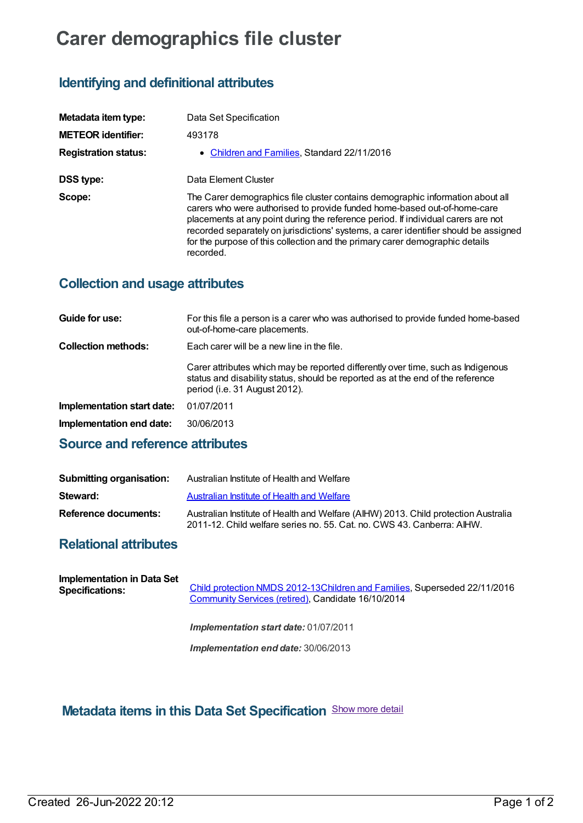# **Carer demographics file cluster**

### **Identifying and definitional attributes**

| Metadata item type:         | Data Set Specification                                                                                                                                                                                                                                                                                                                                                                                                               |
|-----------------------------|--------------------------------------------------------------------------------------------------------------------------------------------------------------------------------------------------------------------------------------------------------------------------------------------------------------------------------------------------------------------------------------------------------------------------------------|
| <b>METEOR identifier:</b>   | 493178                                                                                                                                                                                                                                                                                                                                                                                                                               |
| <b>Registration status:</b> | • Children and Families, Standard 22/11/2016                                                                                                                                                                                                                                                                                                                                                                                         |
| DSS type:                   | Data Element Cluster                                                                                                                                                                                                                                                                                                                                                                                                                 |
| Scope:                      | The Carer demographics file cluster contains demographic information about all<br>carers who were authorised to provide funded home-based out-of-home-care<br>placements at any point during the reference period. If individual carers are not<br>recorded separately on jurisdictions' systems, a carer identifier should be assigned<br>for the purpose of this collection and the primary carer demographic details<br>recorded. |

#### **Collection and usage attributes**

| Guide for use:             | For this file a person is a carer who was authorised to provide funded home-based<br>out-of-home-care placements.                                                                                    |
|----------------------------|------------------------------------------------------------------------------------------------------------------------------------------------------------------------------------------------------|
| <b>Collection methods:</b> | Each carer will be a new line in the file.                                                                                                                                                           |
|                            | Carer attributes which may be reported differently over time, such as Indigenous<br>status and disability status, should be reported as at the end of the reference<br>period (i.e. 31 August 2012). |
| Implementation start date: | 01/07/2011                                                                                                                                                                                           |
| Implementation end date:   | 30/06/2013                                                                                                                                                                                           |
|                            |                                                                                                                                                                                                      |

#### **Source and reference attributes**

| Submitting organisation: | Australian Institute of Health and Welfare                                                                                                                   |
|--------------------------|--------------------------------------------------------------------------------------------------------------------------------------------------------------|
| Steward:                 | Australian Institute of Health and Welfare                                                                                                                   |
| Reference documents:     | Australian Institute of Health and Welfare (AIHW) 2013. Child protection Australia<br>2011-12. Child welfare series no. 55. Cat. no. CWS 43. Canberra: AIHW. |

#### **Relational attributes**

| Implementation in Data Set<br><b>Specifications:</b> | Child protection NMDS 2012-13Children and Families, Superseded 22/11/2016<br>Community Services (retired), Candidate 16/10/2014 |
|------------------------------------------------------|---------------------------------------------------------------------------------------------------------------------------------|
|                                                      | <b>Implementation start date: 01/07/2011</b>                                                                                    |
|                                                      | Implementation end date: 30/06/2013                                                                                             |

## **Metadata items in this Data Set Specification** Show more detail